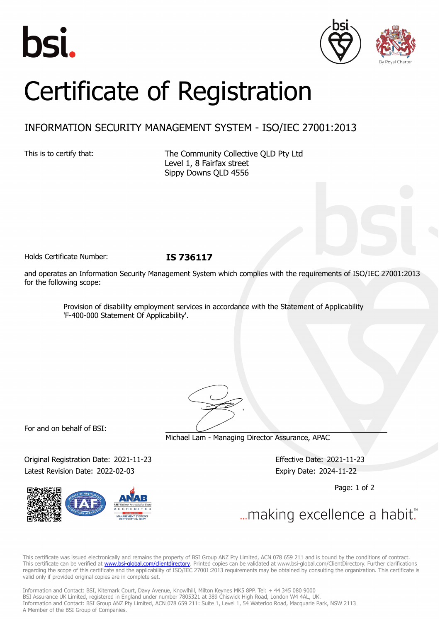





# Certificate of Registration

## INFORMATION SECURITY MANAGEMENT SYSTEM - ISO/IEC 27001:2013

This is to certify that: The Community Collective QLD Pty Ltd Level 1, 8 Fairfax street Sippy Downs QLD 4556

Holds Certificate Number: **IS 736117**

and operates an Information Security Management System which complies with the requirements of ISO/IEC 27001:2013 for the following scope:

Provision of disability employment services in accordance with the Statement of Applicability 'F-400-000 Statement Of Applicability'.

For and on behalf of BSI:

Original Registration Date: 2021-11-23 Effective Date: 2021-11-23 Latest Revision Date: 2022-02-03 Expiry Date: 2024-11-22



Michael Lam - Managing Director Assurance, APAC

Page: 1 of 2

... making excellence a habit.

This certificate was issued electronically and remains the property of BSI Group ANZ Pty Limited, ACN 078 659 211 and is bound by the conditions of contract. This certificate can be verified at [www.bsi-global.com/clientdirectory](http://www.bsi-global.com/clientdirectory). Printed copies can be validated at www.bsi-global.com/ClientDirectory. Further clarifications regarding the scope of this certificate and the applicability of ISO/IEC 27001:2013 requirements may be obtained by consulting the organization. This certificate is valid only if provided original copies are in complete set.

Information and Contact: BSI, Kitemark Court, Davy Avenue, Knowlhill, Milton Keynes MK5 8PP. Tel: + 44 345 080 9000 BSI Assurance UK Limited, registered in England under number 7805321 at 389 Chiswick High Road, London W4 4AL, UK. Information and Contact: BSI Group ANZ Pty Limited, ACN 078 659 211: Suite 1, Level 1, 54 Waterloo Road, Macquarie Park, NSW 2113 A Member of the BSI Group of Companies.